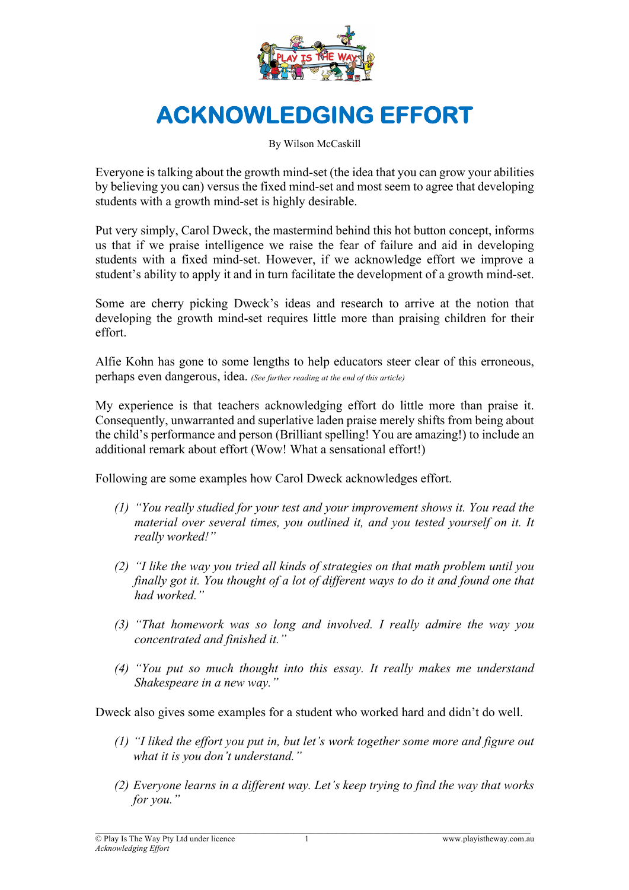

## **ACKNOWLEDGING EFFORT**

By Wilson McCaskill

Everyone is talking about the growth mind-set (the idea that you can grow your abilities by believing you can) versus the fixed mind-set and most seem to agree that developing students with a growth mind-set is highly desirable.

Put very simply, Carol Dweck, the mastermind behind this hot button concept, informs us that if we praise intelligence we raise the fear of failure and aid in developing students with a fixed mind-set. However, if we acknowledge effort we improve a student's ability to apply it and in turn facilitate the development of a growth mind-set.

Some are cherry picking Dweck's ideas and research to arrive at the notion that developing the growth mind-set requires little more than praising children for their effort.

Alfie Kohn has gone to some lengths to help educators steer clear of this erroneous, perhaps even dangerous, idea. *(See further reading at the end of this article)*

My experience is that teachers acknowledging effort do little more than praise it. Consequently, unwarranted and superlative laden praise merely shifts from being about the child's performance and person (Brilliant spelling! You are amazing!) to include an additional remark about effort (Wow! What a sensational effort!)

Following are some examples how Carol Dweck acknowledges effort.

- *(1) "You really studied for your test and your improvement shows it. You read the material over several times, you outlined it, and you tested yourself on it. It really worked!"*
- *(2) "I like the way you tried all kinds of strategies on that math problem until you finally got it. You thought of a lot of different ways to do it and found one that had worked."*
- *(3) "That homework was so long and involved. I really admire the way you concentrated and finished it."*
- *(4) "You put so much thought into this essay. It really makes me understand Shakespeare in a new way."*

Dweck also gives some examples for a student who worked hard and didn't do well.

- *(1) "I liked the effort you put in, but let's work together some more and figure out what it is you don't understand."*
- *(2) Everyone learns in a different way. Let's keep trying to find the way that works for you."*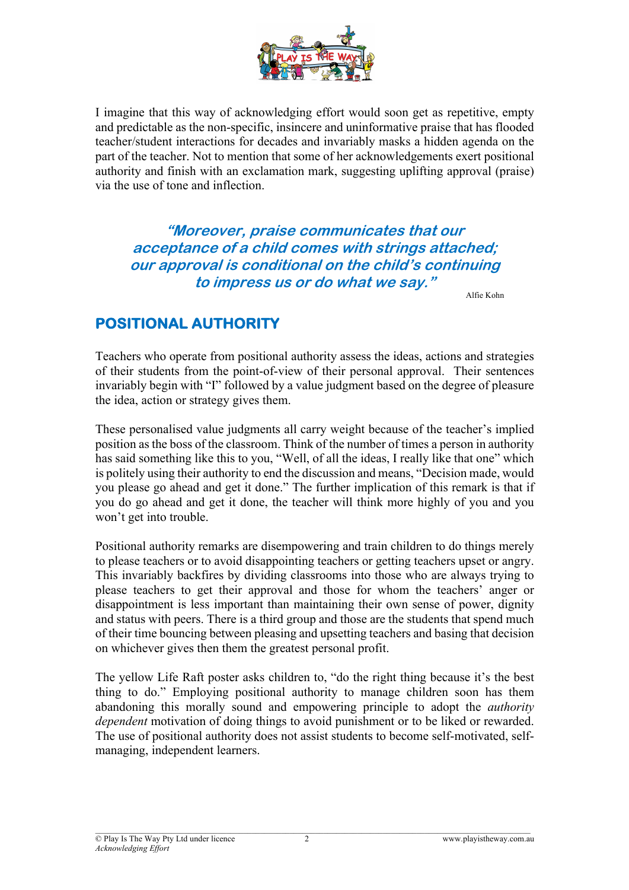

I imagine that this way of acknowledging effort would soon get as repetitive, empty and predictable as the non-specific, insincere and uninformative praise that has flooded teacher/student interactions for decades and invariably masks a hidden agenda on the part of the teacher. Not to mention that some of her acknowledgements exert positional authority and finish with an exclamation mark, suggesting uplifting approval (praise) via the use of tone and inflection.

**"Moreover, praise communicates that our acceptance of a child comes with strings attached; our approval is conditional on the child's continuing to impress us or do what we say."**

Alfie Kohn

## **POSITIONAL AUTHORITY**

Teachers who operate from positional authority assess the ideas, actions and strategies of their students from the point-of-view of their personal approval. Their sentences invariably begin with "I" followed by a value judgment based on the degree of pleasure the idea, action or strategy gives them.

These personalised value judgments all carry weight because of the teacher's implied position as the boss of the classroom. Think of the number of times a person in authority has said something like this to you, "Well, of all the ideas, I really like that one" which is politely using their authority to end the discussion and means, "Decision made, would you please go ahead and get it done." The further implication of this remark is that if you do go ahead and get it done, the teacher will think more highly of you and you won't get into trouble.

Positional authority remarks are disempowering and train children to do things merely to please teachers or to avoid disappointing teachers or getting teachers upset or angry. This invariably backfires by dividing classrooms into those who are always trying to please teachers to get their approval and those for whom the teachers' anger or disappointment is less important than maintaining their own sense of power, dignity and status with peers. There is a third group and those are the students that spend much of their time bouncing between pleasing and upsetting teachers and basing that decision on whichever gives then them the greatest personal profit.

The yellow Life Raft poster asks children to, "do the right thing because it's the best thing to do." Employing positional authority to manage children soon has them abandoning this morally sound and empowering principle to adopt the *authority dependent* motivation of doing things to avoid punishment or to be liked or rewarded. The use of positional authority does not assist students to become self-motivated, selfmanaging, independent learners.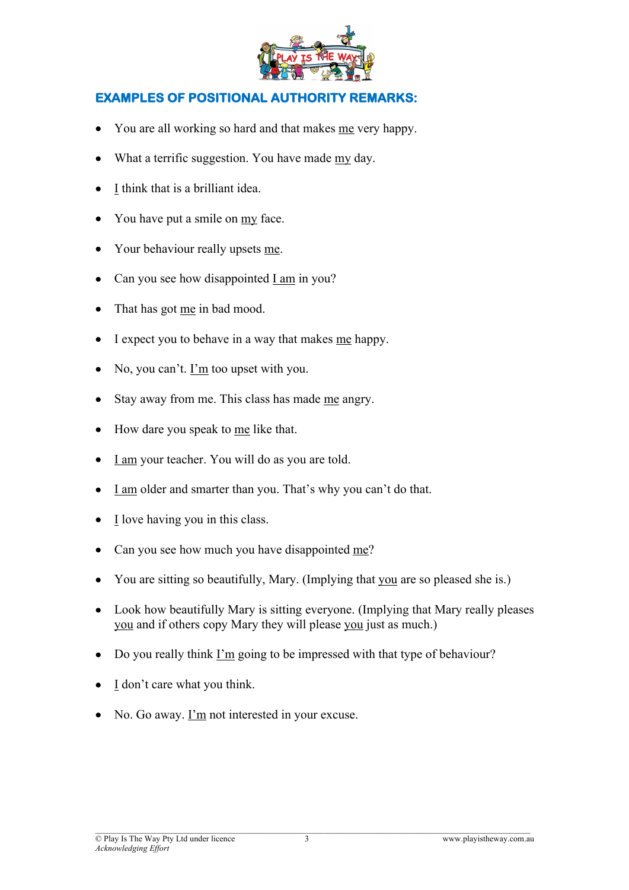

## **EXAMPLES OF POSITIONAL AUTHORITY REMARKS:**

- You are all working so hard and that makes me very happy.
- What a terrific suggestion. You have made my day.
- I think that is a brilliant idea.
- You have put a smile on my face.
- Your behaviour really upsets me.
- Can you see how disappointed I am in you?
- That has got me in bad mood.
- I expect you to behave in a way that makes me happy.
- No, you can't.  $\underline{\text{I'm}}$  too upset with you.
- Stay away from me. This class has made me angry.
- How dare you speak to me like that.
- I am your teacher. You will do as you are told.
- I am older and smarter than you. That's why you can't do that.
- I love having you in this class.
- Can you see how much you have disappointed me?
- You are sitting so beautifully, Mary. (Implying that you are so pleased she is.)
- Look how beautifully Mary is sitting everyone. (Implying that Mary really pleases you and if others copy Mary they will please you just as much.)
- Do you really think I'm going to be impressed with that type of behaviour?
- I don't care what you think.
- No. Go away.  $\underline{\Gamma m}$  not interested in your excuse.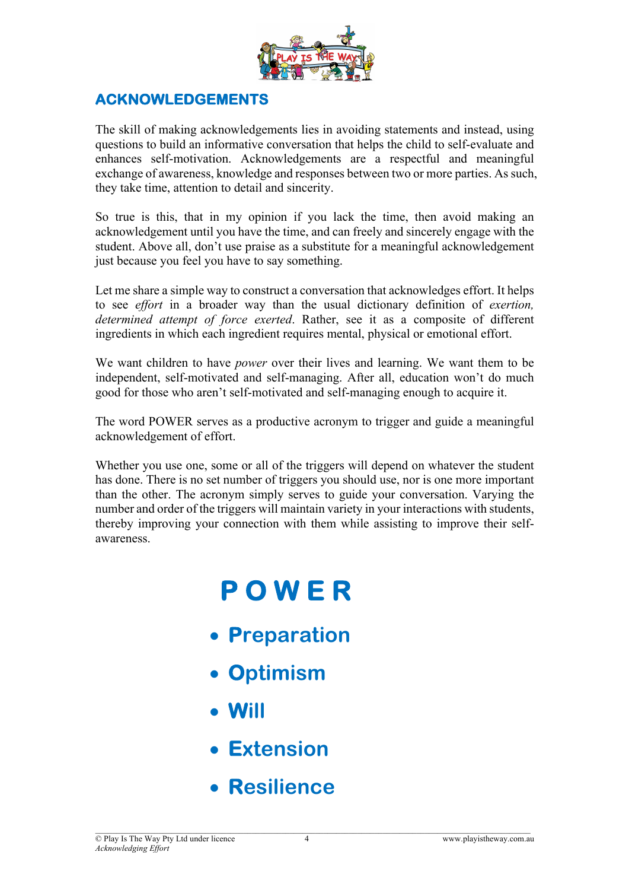

## **ACKNOWLEDGEMENTS**

The skill of making acknowledgements lies in avoiding statements and instead, using questions to build an informative conversation that helps the child to self-evaluate and enhances self-motivation. Acknowledgements are a respectful and meaningful exchange of awareness, knowledge and responses between two or more parties. As such, they take time, attention to detail and sincerity.

So true is this, that in my opinion if you lack the time, then avoid making an acknowledgement until you have the time, and can freely and sincerely engage with the student. Above all, don't use praise as a substitute for a meaningful acknowledgement just because you feel you have to say something.

Let me share a simple way to construct a conversation that acknowledges effort. It helps to see *effort* in a broader way than the usual dictionary definition of *exertion, determined attempt of force exerted*. Rather, see it as a composite of different ingredients in which each ingredient requires mental, physical or emotional effort.

We want children to have *power* over their lives and learning. We want them to be independent, self-motivated and self-managing. After all, education won't do much good for those who aren't self-motivated and self-managing enough to acquire it.

The word POWER serves as a productive acronym to trigger and guide a meaningful acknowledgement of effort.

Whether you use one, some or all of the triggers will depend on whatever the student has done. There is no set number of triggers you should use, nor is one more important than the other. The acronym simply serves to guide your conversation. Varying the number and order of the triggers will maintain variety in your interactions with students, thereby improving your connection with them while assisting to improve their selfawareness.

# **P O W E R**

- **Preparation**
- **Optimism**
- **Will**
- **Extension**
- **Resilience**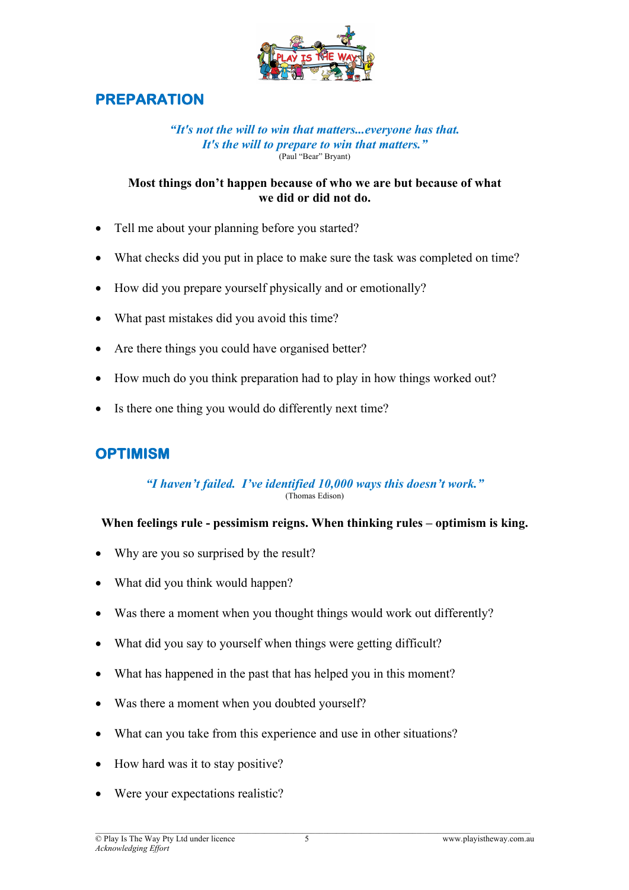

## **PREPARATION**

#### *"It's not the will to win that matters...everyone has that. It's the will to prepare to win that matters."* (Paul "Bear" Bryant)

#### **Most things don't happen because of who we are but because of what we did or did not do.**

- Tell me about your planning before you started?
- What checks did you put in place to make sure the task was completed on time?
- How did you prepare yourself physically and or emotionally?
- What past mistakes did you avoid this time?
- Are there things you could have organised better?
- How much do you think preparation had to play in how things worked out?
- Is there one thing you would do differently next time?

## **OPTIMISM**

#### *"I haven't failed. I've identified 10,000 ways this doesn't work."* (Thomas Edison)

#### **When feelings rule - pessimism reigns. When thinking rules – optimism is king.**

- Why are you so surprised by the result?
- What did you think would happen?
- Was there a moment when you thought things would work out differently?
- What did you say to yourself when things were getting difficult?
- What has happened in the past that has helped you in this moment?
- Was there a moment when you doubted yourself?
- What can you take from this experience and use in other situations?
- How hard was it to stay positive?
- Were your expectations realistic?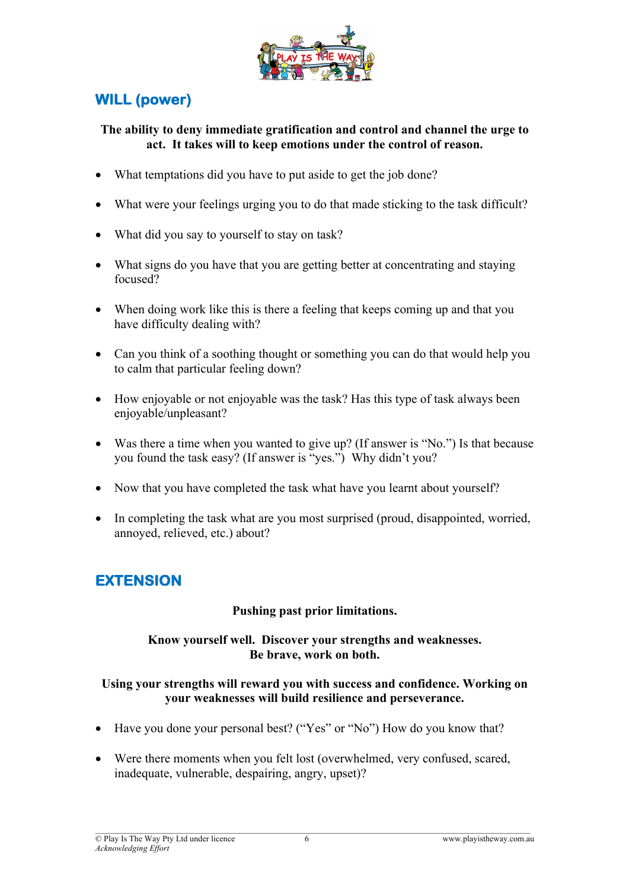

## **WILL (power)**

#### **The ability to deny immediate gratification and control and channel the urge to act. It takes will to keep emotions under the control of reason.**

- What temptations did you have to put aside to get the job done?
- What were your feelings urging you to do that made sticking to the task difficult?
- What did you say to yourself to stay on task?
- What signs do you have that you are getting better at concentrating and staying focused?
- When doing work like this is there a feeling that keeps coming up and that you have difficulty dealing with?
- Can you think of a soothing thought or something you can do that would help you to calm that particular feeling down?
- How enjoyable or not enjoyable was the task? Has this type of task always been enjoyable/unpleasant?
- Was there a time when you wanted to give up? (If answer is "No.") Is that because you found the task easy? (If answer is "yes.") Why didn't you?
- Now that you have completed the task what have you learnt about yourself?
- In completing the task what are you most surprised (proud, disappointed, worried, annoyed, relieved, etc.) about?

## **EXTENSION**

### **Pushing past prior limitations.**

#### **Know yourself well. Discover your strengths and weaknesses. Be brave, work on both.**

#### **Using your strengths will reward you with success and confidence. Working on your weaknesses will build resilience and perseverance.**

- Have you done your personal best? ("Yes" or "No") How do you know that?
- Were there moments when you felt lost (overwhelmed, very confused, scared, inadequate, vulnerable, despairing, angry, upset)?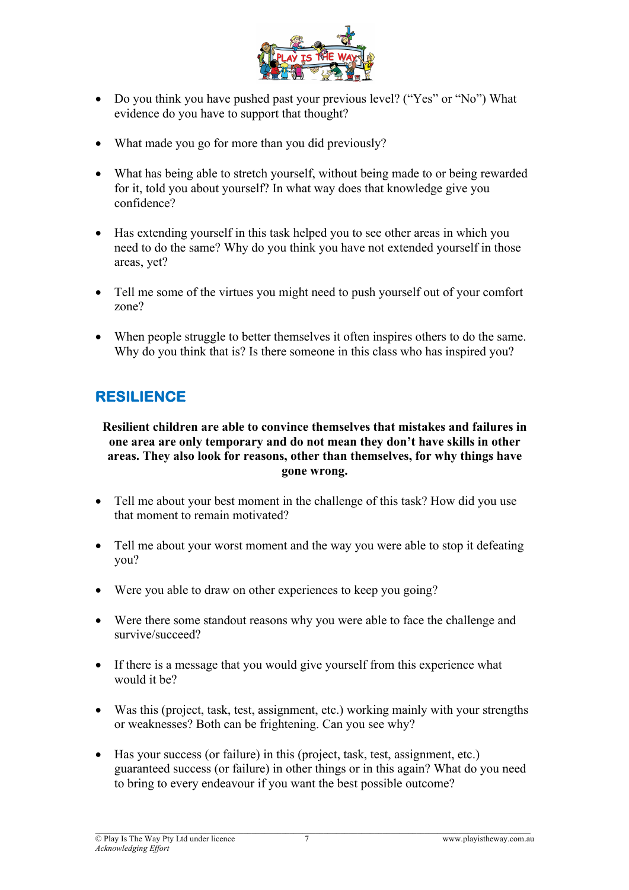

- Do you think you have pushed past your previous level? ("Yes" or "No") What evidence do you have to support that thought?
- What made you go for more than you did previously?
- What has being able to stretch yourself, without being made to or being rewarded for it, told you about yourself? In what way does that knowledge give you confidence?
- Has extending yourself in this task helped you to see other areas in which you need to do the same? Why do you think you have not extended yourself in those areas, yet?
- Tell me some of the virtues you might need to push yourself out of your comfort zone?
- When people struggle to better themselves it often inspires others to do the same. Why do you think that is? Is there someone in this class who has inspired you?

## **RESILIENCE**

#### **Resilient children are able to convince themselves that mistakes and failures in one area are only temporary and do not mean they don't have skills in other areas. They also look for reasons, other than themselves, for why things have gone wrong.**

- Tell me about your best moment in the challenge of this task? How did you use that moment to remain motivated?
- Tell me about your worst moment and the way you were able to stop it defeating you?
- Were you able to draw on other experiences to keep you going?
- Were there some standout reasons why you were able to face the challenge and survive/succeed?
- If there is a message that you would give yourself from this experience what would it be?
- Was this (project, task, test, assignment, etc.) working mainly with your strengths or weaknesses? Both can be frightening. Can you see why?
- Has your success (or failure) in this (project, task, test, assignment, etc.) guaranteed success (or failure) in other things or in this again? What do you need to bring to every endeavour if you want the best possible outcome?